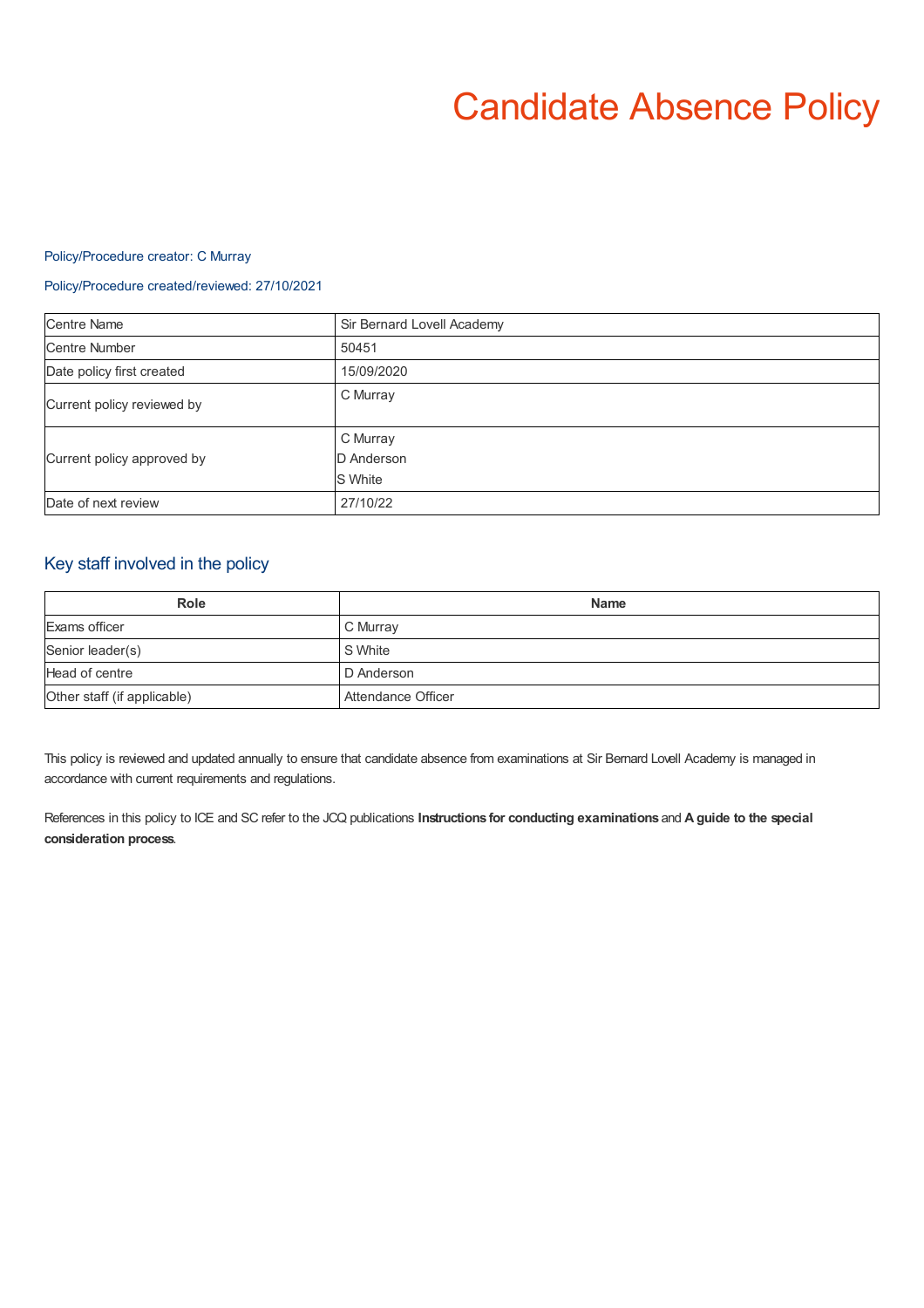# Candidate Absence Policy

#### Policy/Procedure creator: C Murray

### Policy/Procedure created/reviewed: 27/10/2021

| <b>Centre Name</b>         | Sir Bernard Lovell Academy        |
|----------------------------|-----------------------------------|
| <b>Centre Number</b>       | 50451                             |
| Date policy first created  | 15/09/2020                        |
| Current policy reviewed by | C Murray                          |
| Current policy approved by | C Murray<br>D Anderson<br>S White |
| Date of next review        | 27/10/22                          |

## Key staff involved in the policy

| <b>Role</b>                 | <b>Name</b>        |
|-----------------------------|--------------------|
| Exams officer               | C Murray           |
| Senior leader(s)            | S White            |
| Head of centre              | D Anderson         |
| Other staff (if applicable) | Attendance Officer |

This policy is reviewed and updated annually to ensure that candidate absence from examinations at Sir Bernard Lovell Academy is managed in accordance with current requirements and regulations.

References in this policy to ICE and SC refer to the JCQ publications **Instructions for conducting examinations** and **A guide to the special consideration process**.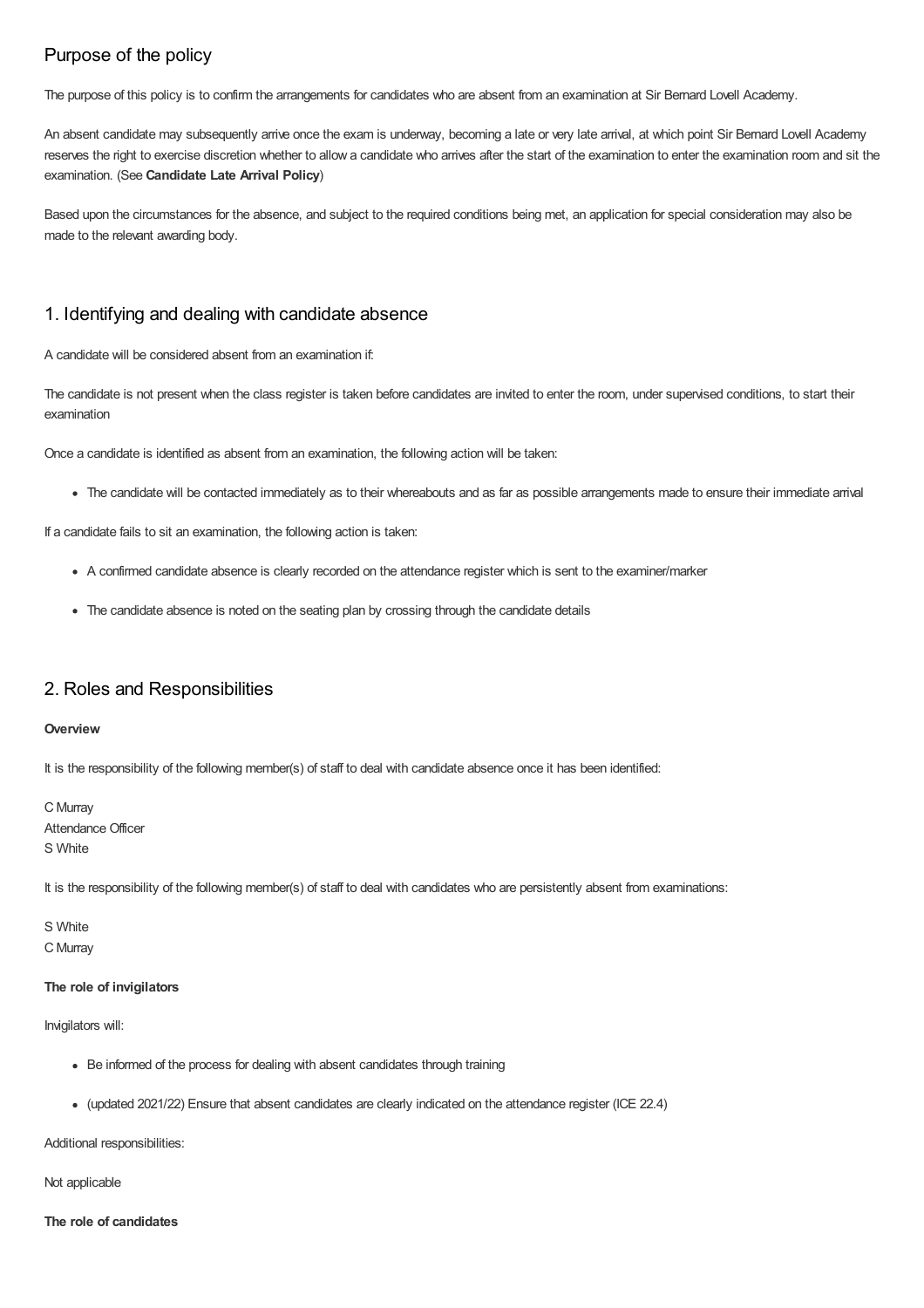# Purpose of the policy

The purpose of this policy is to confirm the arrangements for candidates who are absent from an examination at Sir Bernard Lovell Academy.

An absent candidate may subsequently arrive once the exam is underway, becoming a late or very late arrival, at which point Sir Bernard Lovell Academy reserves the right to exercise discretion whether to allow a candidate who arrives after the start of the examination to enter the examination room and sit the examination. (See **Candidate Late Arrival Policy**)

Based upon the circumstances for the absence, and subject to the required conditions being met, an application for special consideration may also be made to the relevant awarding body.

## 1. Identifying and dealing with candidate absence

A candidate will be considered absent from an examination if:

The candidate is not present when the class register is taken before candidates are invited to enter the room, under supervised conditions, to start their examination

Once a candidate is identified as absent from an examination, the following action will be taken:

The candidate will be contacted immediately as to their whereabouts and as far as possible arrangements made to ensure their immediate arrival

If a candidate fails to sit an examination, the following action is taken:

- A confirmed candidate absence is clearly recorded on the attendance register which is sent to the examiner/marker
- The candidate absence is noted on the seating plan by crossing through the candidate details

## 2. Roles and Responsibilities

#### **Overview**

It is the responsibility of the following member(s) of staff to deal with candidate absence once it has been identified:

C Murray Attendance Officer S White

It is the responsibility of the following member(s) of staff to deal with candidates who are persistently absent from examinations:

S White C Murray

#### **The role of invigilators**

Invigilators will:

- Be informed of the process for dealing with absent candidates through training
- (updated 2021/22) Ensure that absent candidates are clearly indicated on the attendance register (ICE 22.4)

Additional responsibilities:

Not applicable

#### **The role of candidates**